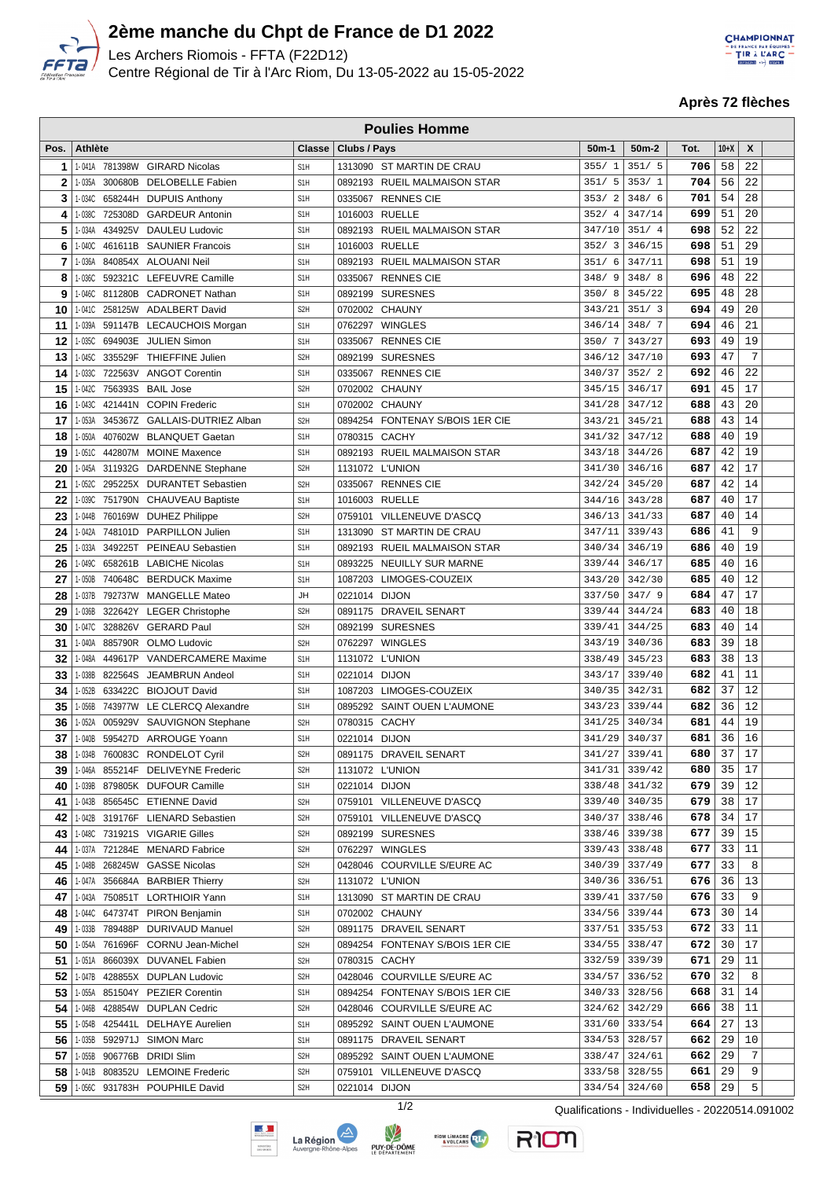

Г

## **2ème manche du Chpt de France de D1 2022**

Les Archers Riomois - FFTA (F22D12) Centre Régional de Tir à l'Arc Riom, Du 13-05-2022 au 15-05-2022 **CHAMPIONNAT** ERANCE PAR GOUPE

**Après 72 flèches**

|              | <b>Poulies Homme</b> |         |                                    |                  |               |                                 |         |               |      |                 |      |  |
|--------------|----------------------|---------|------------------------------------|------------------|---------------|---------------------------------|---------|---------------|------|-----------------|------|--|
| Pos.         | <b>Athlète</b>       |         |                                    | Classe           | Clubs / Pays  |                                 | $50m-1$ | $50m-2$       | Tot. | $10+X$          | X    |  |
| $\mathbf{1}$ |                      |         | 1-041A 781398W GIRARD Nicolas      | S <sub>1</sub> H |               | 1313090 ST MARTIN DE CRAU       | 355/1   | 351/5         | 706  | 58              | 22   |  |
| $\mathbf{2}$ | 1-035A               |         | 300680B DELOBELLE Fabien           | S <sub>1</sub> H |               | 0892193 RUEIL MALMAISON STAR    | 351/5   | 353/1         | 704  | 56              | 22   |  |
| 3            | 1-034C               |         | 658244H DUPUIS Anthony             | S <sub>1</sub> H |               | 0335067 RENNES CIE              | 353/2   | 348/6         | 701  | 54              | 28   |  |
| 4            | 1-038C               |         | 725308D GARDEUR Antonin            | S <sub>1</sub> H |               | 1016003 RUELLE                  | 352/4   | 347/14        | 699  | 51              | 20   |  |
|              |                      |         |                                    |                  |               |                                 |         | 351/4         |      | 52              | 22   |  |
| 5            | 1-034A               |         | 434925V DAULEU Ludovic             | S <sub>1</sub> H |               | 0892193 RUEIL MALMAISON STAR    | 347/10  |               | 698  |                 |      |  |
| 6            | 1-040C               |         | 461611B SAUNIER Francois           | S <sub>1</sub> H |               | 1016003 RUELLE                  | 352/3   | 346/15        | 698  | 51              | 29   |  |
| 7            | 1-036A               |         | 840854X ALOUANI Neil               | S <sub>1</sub> H |               | 0892193 RUEIL MALMAISON STAR    | 351/6   | 347/11        | 698  | 51              | 19   |  |
| 8            | 1-036C               |         | 592321C LEFEUVRE Camille           | S <sub>1</sub> H |               | 0335067 RENNES CIE              | 348/9   | 348/8         | 696  | 48              | 22   |  |
| 9            | 1-046C               |         | 811280B CADRONET Nathan            | S <sub>1</sub> H | 0892199       | <b>SURESNES</b>                 | 350/8   | 345/22        | 695  | 48              | 28   |  |
| 10           |                      |         | 1-0410 258125W ADALBERT David      | S <sub>2</sub> H |               | 0702002 CHAUNY                  | 343/21  | 351/3         | 694  | 49              | 20   |  |
| 11           | 1-039A               |         | 591147B LECAUCHOIS Morgan          | S <sub>1</sub> H |               | 0762297 WINGLES                 | 346/14  | 348/7         | 694  | 46              | 21   |  |
| 12           |                      |         | 1-035C 694903E JULIEN Simon        | S <sub>1</sub> H |               | 0335067 RENNES CIE              | 350/7   | 343/27        | 693  | 49              | 19   |  |
| 13           | 1-045C               |         | 335529F THIEFFINE Julien           | S <sub>2</sub> H | 0892199       | <b>SURESNES</b>                 | 346/12  | 347/10        | 693  | 47              | 7    |  |
| 14           |                      |         | 1-033C 722563V ANGOT Corentin      | S <sub>1</sub> H |               | 0335067 RENNES CIE              | 340/37  | 352/2         | 692  | 46              | 22   |  |
| 15           |                      |         | 1-042C 756393S BAIL Jose           | S <sub>2</sub> H |               | 0702002 CHAUNY                  | 345/15  | 346/17        | 691  | 45              | 17   |  |
| 16           |                      |         | 1-043C 421441N COPIN Frederic      | S <sub>1</sub> H |               | 0702002 CHAUNY                  | 341/28  | 347/12        | 688  | 43              | 20   |  |
| 17           | 1-053A               |         | 345367Z GALLAIS-DUTRIEZ Alban      | S <sub>2</sub> H |               | 0894254 FONTENAY S/BOIS 1ER CIE | 343/21  | 345/21        | 688  | 43              | 14   |  |
| 18           | 1-050A               |         | 407602W BLANQUET Gaetan            | S <sub>1</sub> H |               | 0780315 CACHY                   | 341/32  | 347/12        | 688  | 40              | 19   |  |
| 19           |                      |         | 1-051C 442807M MOINE Maxence       | S <sub>1</sub> H |               | 0892193 RUEIL MALMAISON STAR    | 343/18  | 344/26        | 687  | 42              | 19   |  |
| 20           |                      |         | 1-045A 311932G DARDENNE Stephane   | S <sub>2</sub> H |               | 1131072 L'UNION                 | 341/30  | 346/16        | 687  | 42              | 17   |  |
| 21           |                      |         | 1-052C 295225X DURANTET Sebastien  | S <sub>2</sub> H |               | 0335067 RENNES CIE              | 342/24  | 345/20        | 687  | 42              | 14   |  |
| 22           |                      |         | 1-039C 751790N CHAUVEAU Baptiste   | S <sub>1</sub> H |               | 1016003 RUELLE                  | 344/16  | 343/28        | 687  | 40              | 17   |  |
| 23           | 1-044B               |         | 760169W DUHEZ Philippe             | S <sub>2</sub> H |               | 0759101 VILLENEUVE D'ASCQ       | 346/13  | 341/33        | 687  | 40              | 14   |  |
| 24           |                      |         | 1-042A 748101D PARPILLON Julien    | S <sub>1</sub> H | 1313090       | ST MARTIN DE CRAU               | 347/11  | 339/43        | 686  | 41              | 9    |  |
| 25           | 1-033A               |         | 349225T PEINEAU Sebastien          | S <sub>1</sub> H |               | 0892193 RUEIL MALMAISON STAR    | 340/34  | 346/19        | 686  | 40              | 19   |  |
| 26           | 1-049C               |         | 658261B LABICHE Nicolas            | S <sub>1</sub> H | 0893225       | <b>NEUILLY SUR MARNE</b>        | 339/44  | 346/17        | 685  | 40              | 16   |  |
| 27           | 1-050B               |         | 740648C BERDUCK Maxime             | S <sub>1</sub> H | 1087203       | LIMOGES-COUZEIX                 | 343/20  | 342/30        | 685  | 40              | 12   |  |
| 28           |                      |         | 1-037B 792737W MANGELLE Mateo      | <b>JH</b>        | 0221014 DIJON |                                 | 337/50  | 347/9         | 684  | 47              | 17   |  |
| 29           | 1-036B               |         | 322642Y LEGER Christophe           | S <sub>2</sub> H |               | 0891175 DRAVEIL SENART          | 339/44  | 344/24        | 683  | 40              | 18   |  |
|              |                      |         |                                    | S <sub>2</sub> H |               |                                 | 339/41  | 344/25        | 683  | 40              | 14   |  |
| 30           |                      |         | 1-047C 328826V GERARD Paul         |                  |               | 0892199 SURESNES                |         |               | 683  | 39              | 18   |  |
| 31           | 1-040A               |         | 885790R OLMO Ludovic               | S <sub>2</sub> H |               | 0762297 WINGLES                 | 343/19  | 340/36        |      |                 |      |  |
| 32           | 1-048A               |         | 449617P VANDERCAMERE Maxime        | S <sub>1</sub> H |               | 1131072 L'UNION                 | 338/49  | 345/23        | 683  | 38              | 13   |  |
| 33           | 1-038B               | 822564S | JEAMBRUN Andeol                    | S <sub>1</sub> H | 0221014 DIJON |                                 | 343/17  | 339/40        | 682  | 41              | 11   |  |
| 34           | 1-052B               |         | 633422C BIOJOUT David              | S <sub>1</sub> H | 1087203       | LIMOGES-COUZEIX                 | 340/35  | 342/31        | 682  | 37              | 12   |  |
| 35           | 1-056B               |         | 743977W LE CLERCQ Alexandre        | S <sub>1</sub> H | 0895292       | <b>SAINT OUEN L'AUMONE</b>      | 343/23  | 339/44        | 682  | 36              | 12   |  |
| 36           | 1-052A               |         | 005929V SAUVIGNON Stephane         | S <sub>2</sub> H |               | 0780315 CACHY                   | 341/25  | 340/34        | 681  | 44              | 19   |  |
| 37           |                      |         | 1-040B 595427D ARROUGE Yoann       | S <sub>1</sub> H | 0221014 DIJON |                                 | 341/29  | 340/37        | 681  | 36              | 16   |  |
|              |                      |         | 38 1-034B 760083C RONDELOT Cyril   | S <sub>2</sub> H |               | 0891175 DRAVEIL SENART          |         | 341/27 339/41 | 680  | $\overline{37}$ | $17$ |  |
| 39           |                      |         | 1-046A 855214F DELIVEYNE Frederic  | S <sub>2</sub> H |               | 1131072 L'UNION                 | 341/31  | 339/42        | 680  | 35              | 17   |  |
| 40           | 1-039B               |         | 879805K DUFOUR Camille             | S <sub>1</sub> H |               | 0221014 DIJON                   | 338/48  | 341/32        | 679  | 39              | 12   |  |
| 41           |                      |         | 1-043B 856545C ETIENNE David       | S <sub>2</sub> H |               | 0759101 VILLENEUVE D'ASCQ       |         | 339/40 340/35 | 679  | 38              | 17   |  |
| 42           |                      |         | 1-042B 319176F LIENARD Sebastien   | S <sub>2</sub> H |               | 0759101 VILLENEUVE D'ASCQ       |         | 340/37 338/46 | 678  | 34              | 17   |  |
| 43           |                      |         | 1-048C 731921S VIGARIE Gilles      | S <sub>2</sub> H |               | 0892199 SURESNES                |         | 338/46 339/38 | 677  | 39              | 15   |  |
| 44           |                      |         | 1-037A 721284E MENARD Fabrice      | S <sub>2</sub> H |               | 0762297 WINGLES                 |         | 339/43 338/48 | 677  | 33              | 11   |  |
| 45           |                      |         | 1-048B 268245W GASSE Nicolas       | S <sub>2</sub> H |               | 0428046 COURVILLE S/EURE AC     | 340/39  | 337/49        | 677  | 33              | 8    |  |
| 46           |                      |         | 1-047A 356684A BARBIER Thierry     | S <sub>2</sub> H |               | 1131072 L'UNION                 |         | 340/36 336/51 | 676  | 36              | 13   |  |
| 47           |                      |         | 1-043A 750851T LORTHIOIR Yann      | S <sub>1</sub> H |               | 1313090 ST MARTIN DE CRAU       | 339/41  | 337/50        | 676  | 33              | 9    |  |
| 48           |                      |         | 1-044C 647374T PIRON Benjamin      | S <sub>1</sub> H |               | 0702002 CHAUNY                  |         | 334/56 339/44 | 673  | 30              | 14   |  |
| 49           | 1-033B               |         | 789488P DURIVAUD Manuel            | S <sub>2</sub> H |               | 0891175 DRAVEIL SENART          | 337/51  | 335/53        | 672  | 33              | 11   |  |
| 50           |                      |         | 1-054A 761696F CORNU Jean-Michel   | S <sub>2</sub> H |               | 0894254 FONTENAY S/BOIS 1ER CIE |         | 334/55 338/47 | 672  | 30              | 17   |  |
| 51           |                      |         | 1-051A 866039X DUVANEL Fabien      | S <sub>2</sub> H |               | 0780315 CACHY                   |         | 332/59 339/39 | 671  | 29              | 11   |  |
| 52           |                      |         | 1-047B 428855X DUPLAN Ludovic      | S <sub>2</sub> H |               | 0428046 COURVILLE S/EURE AC     | 334/57  | 336/52        | 670  | 32              | 8    |  |
| 53           |                      |         | 1-055A 851504Y PEZIER Corentin     | S <sub>1</sub> H |               | 0894254 FONTENAY S/BOIS 1ER CIE |         | 340/33 328/56 | 668  | 31              | 14   |  |
| 54           | 1-046B               |         | 428854W DUPLAN Cedric              | S <sub>2</sub> H | 0428046       | COURVILLE S/EURE AC             |         | 324/62 342/29 | 666  | 38              | 11   |  |
| 55           |                      |         | 1-054B 425441L DELHAYE Aurelien    | S <sub>1</sub> H |               | 0895292 SAINT OUEN L'AUMONE     | 331/60  | 333/54        | 664  | 27              | 13   |  |
| 56           |                      |         | 1-035B 592971J SIMON Marc          | S <sub>1</sub> H |               | 0891175 DRAVEIL SENART          | 334/53  | 328/57        | 662  | 29              | 10   |  |
| 57           |                      |         | 1-055B 906776B DRIDI Slim          | S <sub>2</sub> H |               | 0895292 SAINT OUEN L'AUMONE     | 338/47  | 324/61        | 662  | 29              | 7    |  |
| 58           |                      |         | 1-041B 808352U LEMOINE Frederic    | S <sub>2</sub> H |               | 0759101 VILLENEUVE D'ASCQ       | 333/58  | 328/55        | 661  | 29              | 9    |  |
|              |                      |         | 59   1-056C 931783H POUPHILE David | S <sub>2</sub> H |               | 0221014 DIJON                   | 334/54  | 324/60        | 658  | 29              | 5    |  |
|              |                      |         |                                    |                  |               |                                 |         |               |      |                 |      |  |









1/2 Qualifications - Individuelles - 20220514.091002